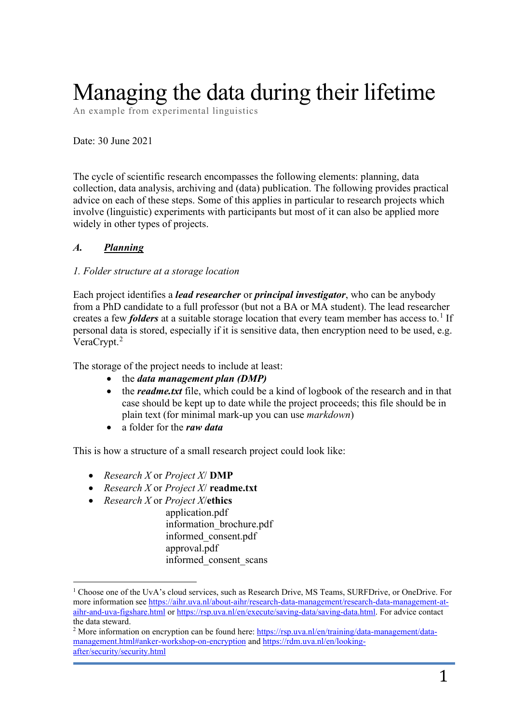# Managing the data during their lifetime

An example from experimental linguistics

Date: 30 June 2021

The cycle of scientific research encompasses the following elements: planning, data collection, data analysis, archiving and (data) publication. The following provides practical advice on each of these steps. Some of this applies in particular to research projects which involve (linguistic) experiments with participants but most of it can also be applied more widely in other types of projects.

## *A. Planning*

#### *1. Folder structure at a storage location*

Each project identifies a *lead researcher* or *principal investigator*, who can be anybody from a PhD candidate to a full professor (but not a BA or MA student). The lead researcher creates a few *folders* at a suitable storage location that every team member has access to. [1](#page-0-0) If personal data is stored, especially if it is sensitive data, then encryption need to be used, e.g. VeraCrypt. [2](#page-0-1)

The storage of the project needs to include at least:

- the *data management plan (DMP)*
- the *readme.txt* file, which could be a kind of logbook of the research and in that case should be kept up to date while the project proceeds; this file should be in plain text (for minimal mark-up you can use *markdown*)
- a folder for the *raw data*

This is how a structure of a small research project could look like:

- *Research X* or *Project X*/ **DMP**
- *Research X* or *Project X*/ **readme.txt**
- *Research X* or *Project X*/**ethics**

application.pdf information\_brochure.pdf informed\_consent.pdf approval.pdf informed\_consent\_scans

<span id="page-0-0"></span><sup>1</sup> Choose one of the UvA's cloud services, such as Research Drive, MS Teams, SURFDrive, or OneDrive. For more information see [https://aihr.uva.nl/about-aihr/research-data-management/research-data-management-at](https://aihr.uva.nl/about-aihr/research-data-management/research-data-management-at-aihr-and-uva-figshare.html)[aihr-and-uva-figshare.html](https://aihr.uva.nl/about-aihr/research-data-management/research-data-management-at-aihr-and-uva-figshare.html) or [https://rsp.uva.nl/en/execute/saving-data/saving-data.html.](https://rsp.uva.nl/en/execute/saving-data/saving-data.html) For advice contact the data steward.

<span id="page-0-1"></span><sup>&</sup>lt;sup>2</sup> More information on encryption can be found here: [https://rsp.uva.nl/en/training/data-management/data](https://rsp.uva.nl/en/training/data-management/data-management.html#anker-workshop-on-encryption)[management.html#anker-workshop-on-encryption](https://rsp.uva.nl/en/training/data-management/data-management.html#anker-workshop-on-encryption) and [https://rdm.uva.nl/en/looking](https://rdm.uva.nl/en/looking-after/security/security.html)[after/security/security.html](https://rdm.uva.nl/en/looking-after/security/security.html)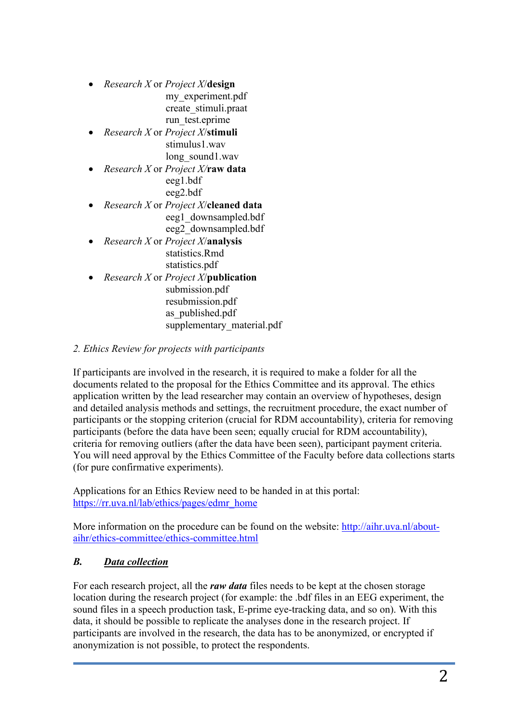• *Research X* or *Project X*/**design** my\_experiment.pdf create\_stimuli.praat

run test.eprime

- *Research X* or *Project X*/**stimuli** stimulus1.wav long\_sound1.wav
- *Research X* or *Project X/***raw data** eeg1.bdf eeg2.bdf
- *Research X* or *Project X*/**cleaned data** eeg1\_downsampled.bdf eeg2\_downsampled.bdf
- *Research X* or *Project X*/**analysis** statistics.Rmd statistics.pdf
- *Research X* or *Project X*/**publication** submission.pdf resubmission.pdf as\_published.pdf
	- supplementary material.pdf

## *2. Ethics Review for projects with participants*

If participants are involved in the research, it is required to make a folder for all the documents related to the proposal for the Ethics Committee and its approval. The ethics application written by the lead researcher may contain an overview of hypotheses, design and detailed analysis methods and settings, the recruitment procedure, the exact number of participants or the stopping criterion (crucial for RDM accountability), criteria for removing participants (before the data have been seen; equally crucial for RDM accountability), criteria for removing outliers (after the data have been seen), participant payment criteria. You will need approval by the Ethics Committee of the Faculty before data collections starts (for pure confirmative experiments).

Applications for an Ethics Review need to be handed in at this portal: [https://rr.uva.nl/lab/ethics/pages/edmr\\_home](https://rr.uva.nl/lab/ethics/pages/edmr_home)

More information on the procedure can be found on the website: [http://aihr.uva.nl/about](http://aihr.uva.nl/about-aihr/ethics-committee/ethics-committee.html)[aihr/ethics-committee/ethics-committee.html](http://aihr.uva.nl/about-aihr/ethics-committee/ethics-committee.html)

# *B. Data collection*

For each research project, all the *raw data* files needs to be kept at the chosen storage location during the research project (for example: the .bdf files in an EEG experiment, the sound files in a speech production task, E-prime eye-tracking data, and so on). With this data, it should be possible to replicate the analyses done in the research project. If participants are involved in the research, the data has to be anonymized, or encrypted if anonymization is not possible, to protect the respondents.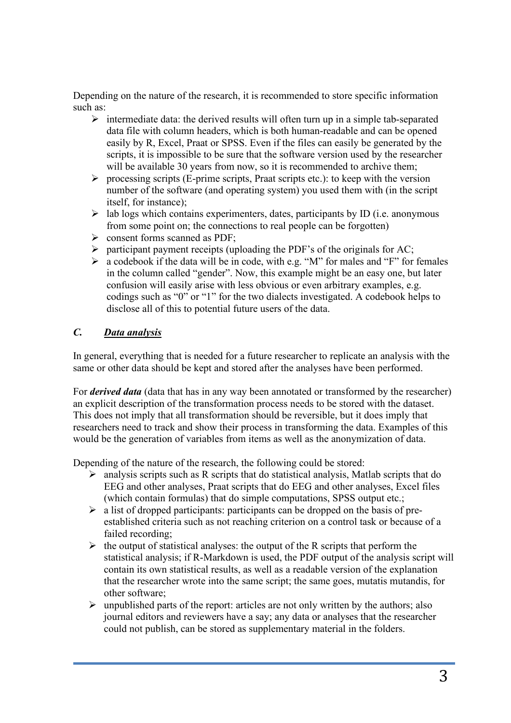Depending on the nature of the research, it is recommended to store specific information such as:

- $\triangleright$  intermediate data: the derived results will often turn up in a simple tab-separated data file with column headers, which is both human-readable and can be opened easily by R, Excel, Praat or SPSS. Even if the files can easily be generated by the scripts, it is impossible to be sure that the software version used by the researcher will be available 30 years from now, so it is recommended to archive them;
- $\triangleright$  processing scripts (E-prime scripts, Praat scripts etc.): to keep with the version number of the software (and operating system) you used them with (in the script itself, for instance);
- $\triangleright$  lab logs which contains experimenters, dates, participants by ID (i.e. anonymous from some point on; the connections to real people can be forgotten)
- $\triangleright$  consent forms scanned as PDF;
- $\triangleright$  participant payment receipts (uploading the PDF's of the originals for AC;
- $\triangleright$  a codebook if the data will be in code, with e.g. "M" for males and "F" for females in the column called "gender". Now, this example might be an easy one, but later confusion will easily arise with less obvious or even arbitrary examples, e.g. codings such as "0" or "1" for the two dialects investigated. A codebook helps to disclose all of this to potential future users of the data.

## *C. Data analysis*

In general, everything that is needed for a future researcher to replicate an analysis with the same or other data should be kept and stored after the analyses have been performed.

For *derived data* (data that has in any way been annotated or transformed by the researcher) an explicit description of the transformation process needs to be stored with the dataset. This does not imply that all transformation should be reversible, but it does imply that researchers need to track and show their process in transforming the data. Examples of this would be the generation of variables from items as well as the anonymization of data.

Depending of the nature of the research, the following could be stored:

- $\triangleright$  analysis scripts such as R scripts that do statistical analysis, Matlab scripts that do EEG and other analyses, Praat scripts that do EEG and other analyses, Excel files (which contain formulas) that do simple computations, SPSS output etc.;
- $\triangleright$  a list of dropped participants: participants can be dropped on the basis of preestablished criteria such as not reaching criterion on a control task or because of a failed recording;
- $\triangleright$  the output of statistical analyses: the output of the R scripts that perform the statistical analysis; if R-Markdown is used, the PDF output of the analysis script will contain its own statistical results, as well as a readable version of the explanation that the researcher wrote into the same script; the same goes, mutatis mutandis, for other software;
- $\triangleright$  unpublished parts of the report: articles are not only written by the authors; also journal editors and reviewers have a say; any data or analyses that the researcher could not publish, can be stored as supplementary material in the folders.